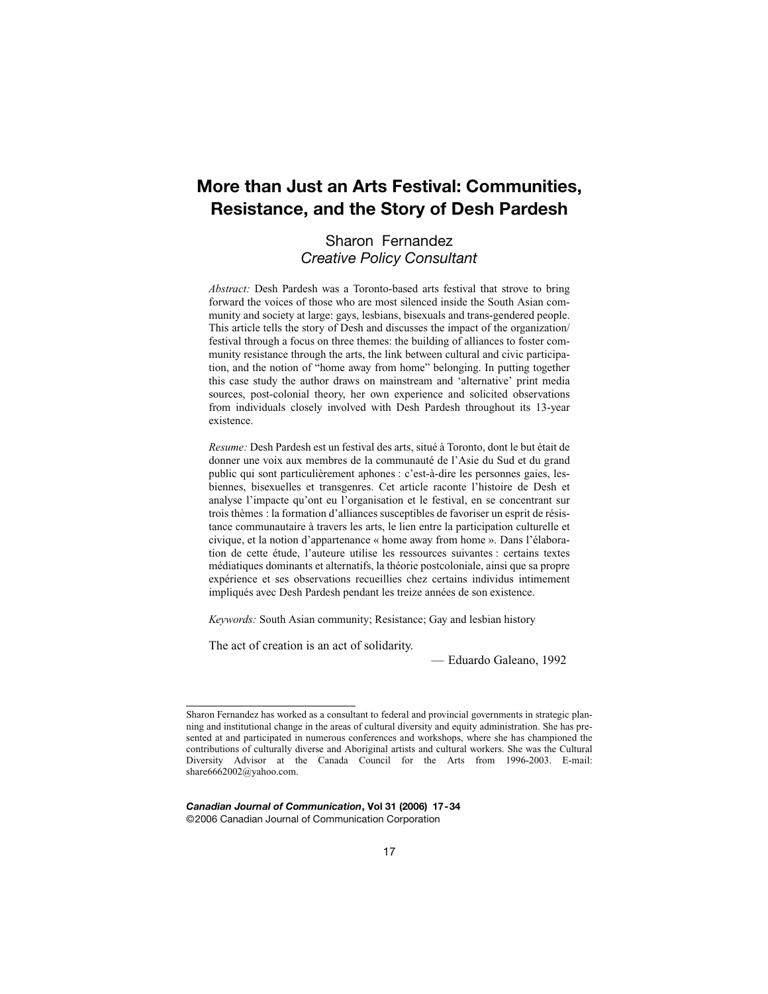# **More than Just an Arts Festival: Communities, Resistance, and the Story of Desh Pardesh**

# Sharon Fernandez *Creative Policy Consultant*

*Abstract:* Desh Pardesh was a Toronto-based arts festival that strove to bring forward the voices of those who are most silenced inside the South Asian community and society at large: gays, lesbians, bisexuals and trans-gendered people. This article tells the story of Desh and discusses the impact of the organization/ festival through a focus on three themes: the building of alliances to foster community resistance through the arts, the link between cultural and civic participation, and the notion of "home away from home" belonging. In putting together this case study the author draws on mainstream and 'alternative' print media sources, post-colonial theory, her own experience and solicited observations from individuals closely involved with Desh Pardesh throughout its 13-year existence.

*Resume:* Desh Pardesh est un festival des arts, situé à Toronto, dont le but était de donner une voix aux membres de la communauté de l'Asie du Sud et du grand public qui sont particulièrement aphones : c'est-à-dire les personnes gaies, lesbiennes, bisexuelles et transgenres. Cet article raconte l'histoire de Desh et analyse l'impacte qu'ont eu l'organisation et le festival, en se concentrant sur trois thèmes : la formation d'alliances susceptibles de favoriser un esprit de résistance communautaire à travers les arts, le lien entre la participation culturelle et civique, et la notion d'appartenance « home away from home ». Dans l'élaboration de cette étude, l'auteure utilise les ressources suivantes : certains textes médiatiques dominants et alternatifs, la théorie postcoloniale, ainsi que sa propre expérience et ses observations recueillies chez certains individus intimement impliqués avec Desh Pardesh pendant les treize années de son existence.

*Keywords:* South Asian community; Resistance; Gay and lesbian history

The act of creation is an act of solidarity.

— Eduardo Galeano, 1992

*Canadian Journal of Communication***, Vol 31 (2006) 17-34** ©2006 Canadian Journal of Communication Corporation

Sharon Fernandez has worked as a consultant to federal and provincial governments in strategic planning and institutional change in the areas of cultural diversity and equity administration. She has presented at and participated in numerous conferences and workshops, where she has championed the contributions of culturally diverse and Aboriginal artists and cultural workers. She was the Cultural Diversity Advisor at the Canada Council for the Arts from 1996-2003. E-mail: share6662002@yahoo.com.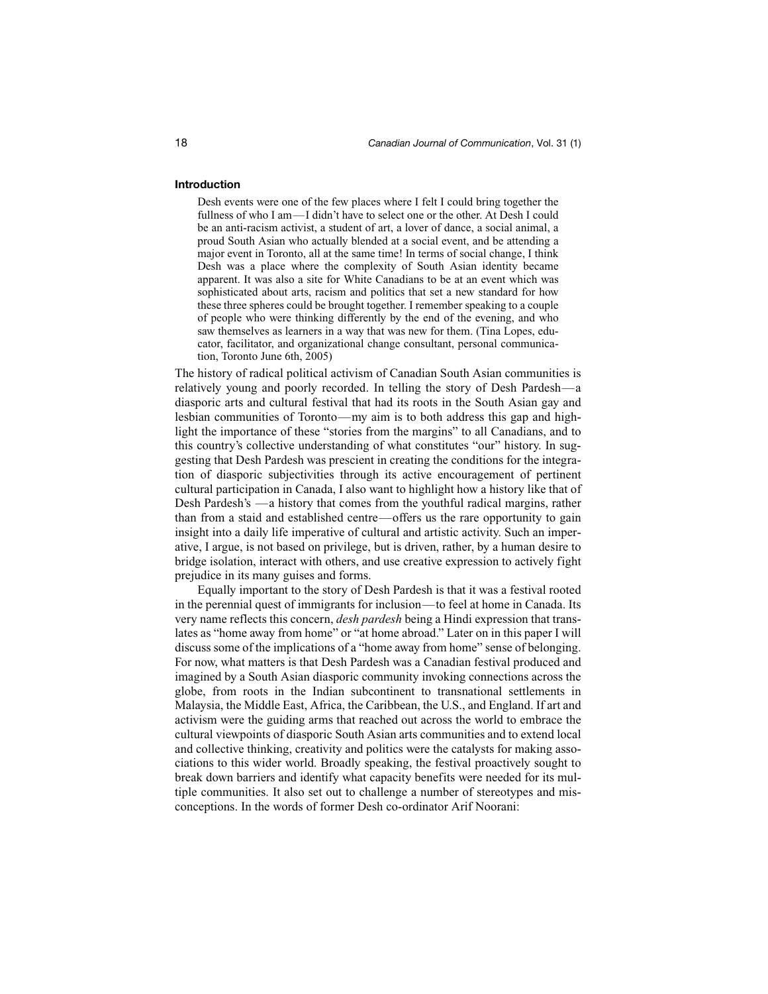### **Introduction**

Desh events were one of the few places where I felt I could bring together the fullness of who I am—I didn't have to select one or the other. At Desh I could be an anti-racism activist, a student of art, a lover of dance, a social animal, a proud South Asian who actually blended at a social event, and be attending a major event in Toronto, all at the same time! In terms of social change, I think Desh was a place where the complexity of South Asian identity became apparent. It was also a site for White Canadians to be at an event which was sophisticated about arts, racism and politics that set a new standard for how these three spheres could be brought together. I remember speaking to a couple of people who were thinking differently by the end of the evening, and who saw themselves as learners in a way that was new for them. (Tina Lopes, educator, facilitator, and organizational change consultant, personal communication, Toronto June 6th, 2005)

The history of radical political activism of Canadian South Asian communities is relatively young and poorly recorded. In telling the story of Desh Pardesh—a diasporic arts and cultural festival that had its roots in the South Asian gay and lesbian communities of Toronto—my aim is to both address this gap and highlight the importance of these "stories from the margins" to all Canadians, and to this country's collective understanding of what constitutes "our" history. In suggesting that Desh Pardesh was prescient in creating the conditions for the integration of diasporic subjectivities through its active encouragement of pertinent cultural participation in Canada, I also want to highlight how a history like that of Desh Pardesh's —a history that comes from the youthful radical margins, rather than from a staid and established centre—offers us the rare opportunity to gain insight into a daily life imperative of cultural and artistic activity. Such an imperative, I argue, is not based on privilege, but is driven, rather, by a human desire to bridge isolation, interact with others, and use creative expression to actively fight prejudice in its many guises and forms.

Equally important to the story of Desh Pardesh is that it was a festival rooted in the perennial quest of immigrants for inclusion—to feel at home in Canada. Its very name reflects this concern, *desh pardesh* being a Hindi expression that translates as "home away from home" or "at home abroad." Later on in this paper I will discuss some of the implications of a "home away from home" sense of belonging. For now, what matters is that Desh Pardesh was a Canadian festival produced and imagined by a South Asian diasporic community invoking connections across the globe, from roots in the Indian subcontinent to transnational settlements in Malaysia, the Middle East, Africa, the Caribbean, the U.S., and England. If art and activism were the guiding arms that reached out across the world to embrace the cultural viewpoints of diasporic South Asian arts communities and to extend local and collective thinking, creativity and politics were the catalysts for making associations to this wider world. Broadly speaking, the festival proactively sought to break down barriers and identify what capacity benefits were needed for its multiple communities. It also set out to challenge a number of stereotypes and misconceptions. In the words of former Desh co-ordinator Arif Noorani: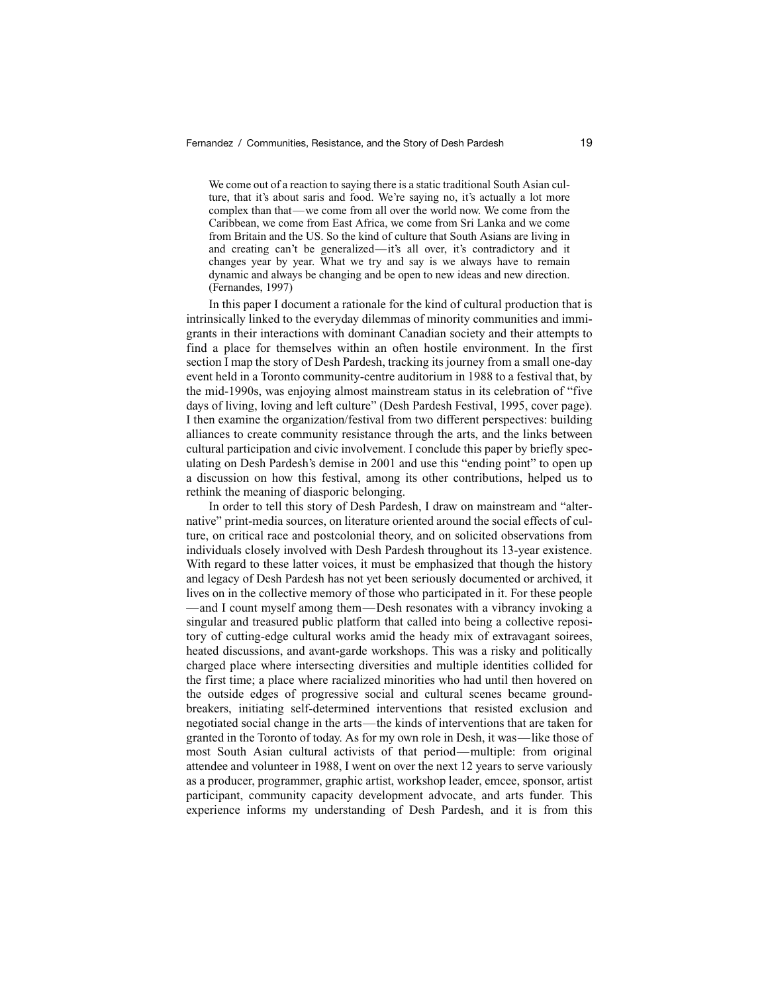We come out of a reaction to saying there is a static traditional South Asian culture, that it's about saris and food. We're saying no, it's actually a lot more complex than that—we come from all over the world now. We come from the Caribbean, we come from East Africa, we come from Sri Lanka and we come from Britain and the US. So the kind of culture that South Asians are living in and creating can't be generalized—it's all over, it's contradictory and it changes year by year. What we try and say is we always have to remain dynamic and always be changing and be open to new ideas and new direction. (Fernandes, 1997)

In this paper I document a rationale for the kind of cultural production that is intrinsically linked to the everyday dilemmas of minority communities and immigrants in their interactions with dominant Canadian society and their attempts to find a place for themselves within an often hostile environment. In the first section I map the story of Desh Pardesh, tracking its journey from a small one-day event held in a Toronto community-centre auditorium in 1988 to a festival that, by the mid-1990s, was enjoying almost mainstream status in its celebration of "five days of living, loving and left culture" (Desh Pardesh Festival, 1995, cover page). I then examine the organization/festival from two different perspectives: building alliances to create community resistance through the arts, and the links between cultural participation and civic involvement. I conclude this paper by briefly speculating on Desh Pardesh's demise in 2001 and use this "ending point" to open up a discussion on how this festival, among its other contributions, helped us to rethink the meaning of diasporic belonging.

In order to tell this story of Desh Pardesh, I draw on mainstream and "alternative" print-media sources, on literature oriented around the social effects of culture, on critical race and postcolonial theory, and on solicited observations from individuals closely involved with Desh Pardesh throughout its 13-year existence. With regard to these latter voices, it must be emphasized that though the history and legacy of Desh Pardesh has not yet been seriously documented or archived, it lives on in the collective memory of those who participated in it. For these people —and I count myself among them—Desh resonates with a vibrancy invoking a singular and treasured public platform that called into being a collective repository of cutting-edge cultural works amid the heady mix of extravagant soirees, heated discussions, and avant-garde workshops. This was a risky and politically charged place where intersecting diversities and multiple identities collided for the first time; a place where racialized minorities who had until then hovered on the outside edges of progressive social and cultural scenes became groundbreakers, initiating self-determined interventions that resisted exclusion and negotiated social change in the arts—the kinds of interventions that are taken for granted in the Toronto of today. As for my own role in Desh, it was—like those of most South Asian cultural activists of that period—multiple: from original attendee and volunteer in 1988, I went on over the next 12 years to serve variously as a producer, programmer, graphic artist, workshop leader, emcee, sponsor, artist participant, community capacity development advocate, and arts funder. This experience informs my understanding of Desh Pardesh, and it is from this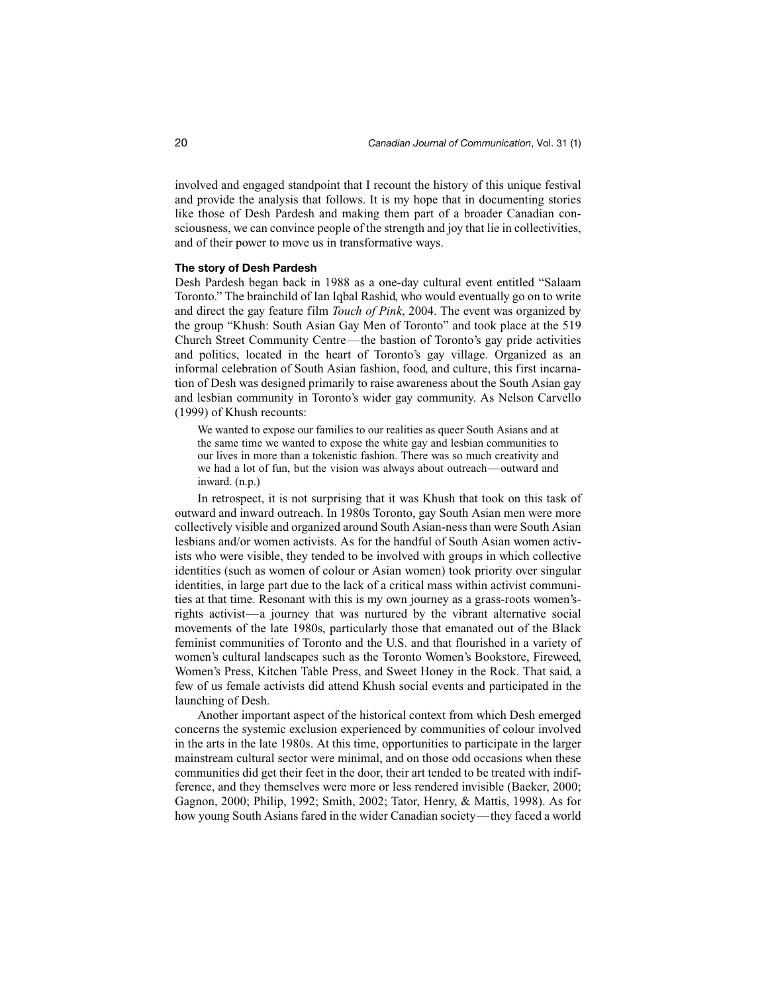involved and engaged standpoint that I recount the history of this unique festival and provide the analysis that follows. It is my hope that in documenting stories like those of Desh Pardesh and making them part of a broader Canadian consciousness, we can convince people of the strength and joy that lie in collectivities, and of their power to move us in transformative ways.

## **The story of Desh Pardesh**

Desh Pardesh began back in 1988 as a one-day cultural event entitled "Salaam Toronto." The brainchild of Ian Iqbal Rashid, who would eventually go on to write and direct the gay feature film *Touch of Pink*, 2004. The event was organized by the group "Khush: South Asian Gay Men of Toronto" and took place at the 519 Church Street Community Centre—the bastion of Toronto's gay pride activities and politics, located in the heart of Toronto's gay village. Organized as an informal celebration of South Asian fashion, food, and culture, this first incarnation of Desh was designed primarily to raise awareness about the South Asian gay and lesbian community in Toronto's wider gay community. As Nelson Carvello (1999) of Khush recounts:

We wanted to expose our families to our realities as queer South Asians and at the same time we wanted to expose the white gay and lesbian communities to our lives in more than a tokenistic fashion. There was so much creativity and we had a lot of fun, but the vision was always about outreach—outward and inward. (n.p.)

In retrospect, it is not surprising that it was Khush that took on this task of outward and inward outreach. In 1980s Toronto, gay South Asian men were more collectively visible and organized around South Asian-ness than were South Asian lesbians and/or women activists. As for the handful of South Asian women activists who were visible, they tended to be involved with groups in which collective identities (such as women of colour or Asian women) took priority over singular identities, in large part due to the lack of a critical mass within activist communities at that time. Resonant with this is my own journey as a grass-roots women'srights activist—a journey that was nurtured by the vibrant alternative social movements of the late 1980s, particularly those that emanated out of the Black feminist communities of Toronto and the U.S. and that flourished in a variety of women's cultural landscapes such as the Toronto Women's Bookstore, Fireweed, Women's Press, Kitchen Table Press, and Sweet Honey in the Rock. That said, a few of us female activists did attend Khush social events and participated in the launching of Desh.

Another important aspect of the historical context from which Desh emerged concerns the systemic exclusion experienced by communities of colour involved in the arts in the late 1980s. At this time, opportunities to participate in the larger mainstream cultural sector were minimal, and on those odd occasions when these communities did get their feet in the door, their art tended to be treated with indifference, and they themselves were more or less rendered invisible (Baeker, 2000; Gagnon, 2000; Philip, 1992; Smith, 2002; Tator, Henry, & Mattis, 1998). As for how young South Asians fared in the wider Canadian society—they faced a world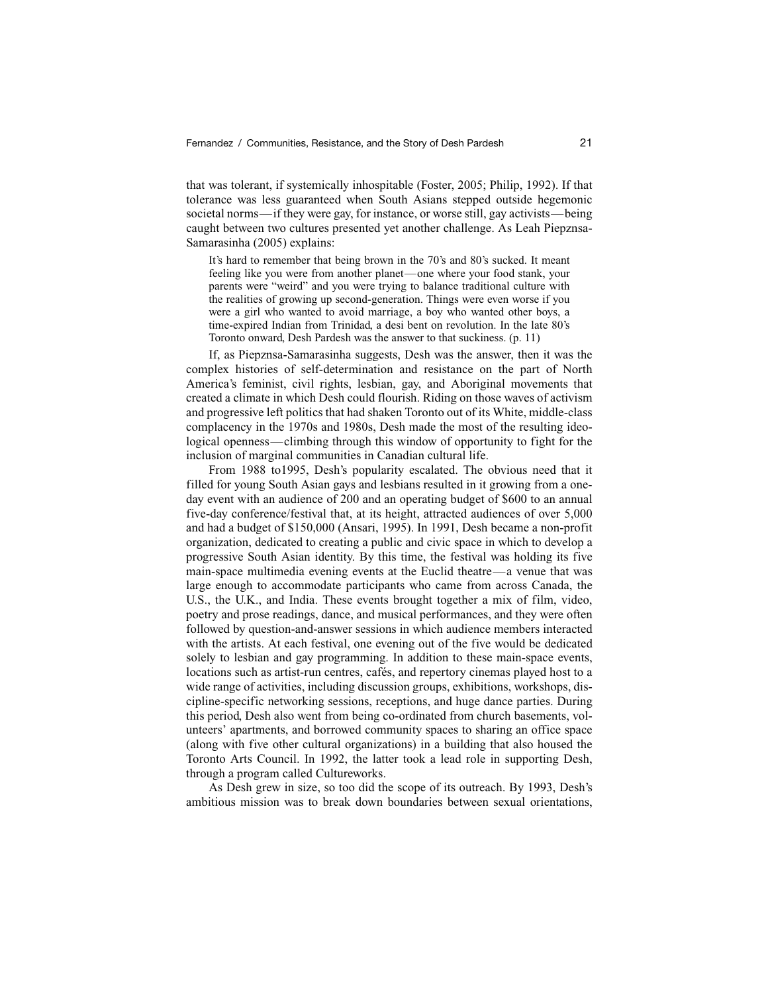that was tolerant, if systemically inhospitable (Foster, 2005; Philip, 1992). If that tolerance was less guaranteed when South Asians stepped outside hegemonic societal norms—if they were gay, for instance, or worse still, gay activists—being caught between two cultures presented yet another challenge. As Leah Piepznsa-Samarasinha (2005) explains:

It's hard to remember that being brown in the 70's and 80's sucked. It meant feeling like you were from another planet—one where your food stank, your parents were "weird" and you were trying to balance traditional culture with the realities of growing up second-generation. Things were even worse if you were a girl who wanted to avoid marriage, a boy who wanted other boys, a time-expired Indian from Trinidad, a desi bent on revolution. In the late 80's Toronto onward, Desh Pardesh was the answer to that suckiness. (p. 11)

If, as Piepznsa-Samarasinha suggests, Desh was the answer, then it was the complex histories of self-determination and resistance on the part of North America's feminist, civil rights, lesbian, gay, and Aboriginal movements that created a climate in which Desh could flourish. Riding on those waves of activism and progressive left politics that had shaken Toronto out of its White, middle-class complacency in the 1970s and 1980s, Desh made the most of the resulting ideological openness—climbing through this window of opportunity to fight for the inclusion of marginal communities in Canadian cultural life.

From 1988 to1995, Desh's popularity escalated. The obvious need that it filled for young South Asian gays and lesbians resulted in it growing from a oneday event with an audience of 200 and an operating budget of \$600 to an annual five-day conference/festival that, at its height, attracted audiences of over 5,000 and had a budget of \$150,000 (Ansari, 1995). In 1991, Desh became a non-profit organization, dedicated to creating a public and civic space in which to develop a progressive South Asian identity. By this time, the festival was holding its five main-space multimedia evening events at the Euclid theatre—a venue that was large enough to accommodate participants who came from across Canada, the U.S., the U.K., and India. These events brought together a mix of film, video, poetry and prose readings, dance, and musical performances, and they were often followed by question-and-answer sessions in which audience members interacted with the artists. At each festival, one evening out of the five would be dedicated solely to lesbian and gay programming. In addition to these main-space events, locations such as artist-run centres, cafés, and repertory cinemas played host to a wide range of activities, including discussion groups, exhibitions, workshops, discipline-specific networking sessions, receptions, and huge dance parties. During this period, Desh also went from being co-ordinated from church basements, volunteers' apartments, and borrowed community spaces to sharing an office space (along with five other cultural organizations) in a building that also housed the Toronto Arts Council. In 1992, the latter took a lead role in supporting Desh, through a program called Cultureworks.

As Desh grew in size, so too did the scope of its outreach. By 1993, Desh's ambitious mission was to break down boundaries between sexual orientations,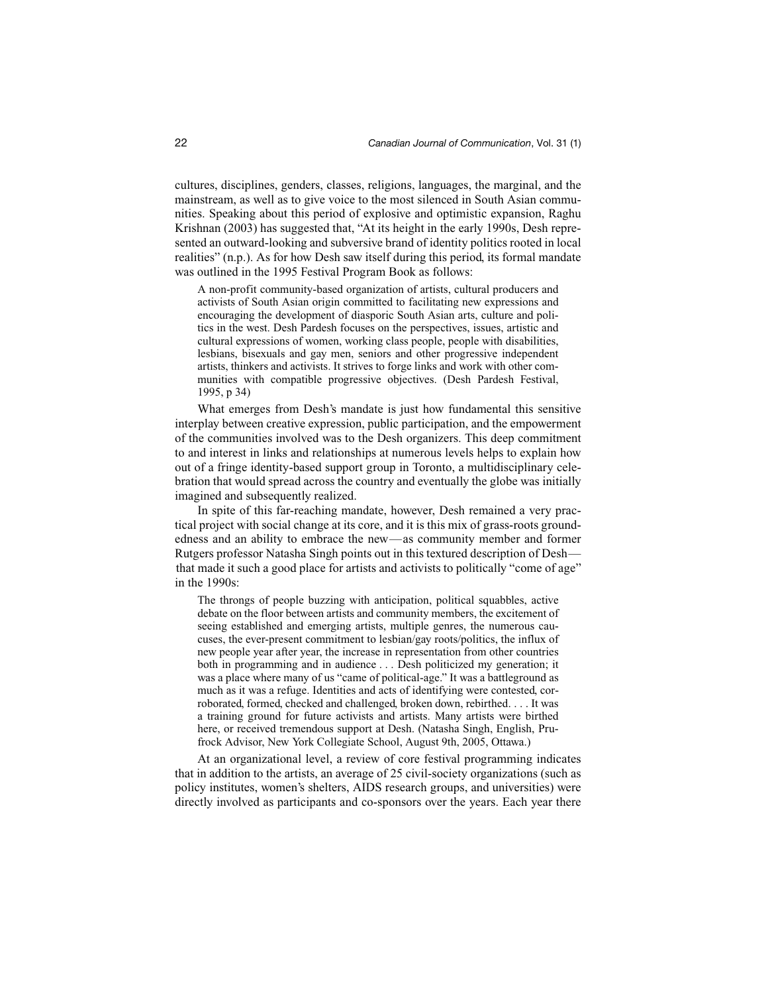cultures, disciplines, genders, classes, religions, languages, the marginal, and the mainstream, as well as to give voice to the most silenced in South Asian communities. Speaking about this period of explosive and optimistic expansion, Raghu Krishnan (2003) has suggested that, "At its height in the early 1990s, Desh represented an outward-looking and subversive brand of identity politics rooted in local realities" (n.p.). As for how Desh saw itself during this period, its formal mandate was outlined in the 1995 Festival Program Book as follows:

A non-profit community-based organization of artists, cultural producers and activists of South Asian origin committed to facilitating new expressions and encouraging the development of diasporic South Asian arts, culture and politics in the west. Desh Pardesh focuses on the perspectives, issues, artistic and cultural expressions of women, working class people, people with disabilities, lesbians, bisexuals and gay men, seniors and other progressive independent artists, thinkers and activists. It strives to forge links and work with other communities with compatible progressive objectives. (Desh Pardesh Festival, 1995, p 34)

What emerges from Desh's mandate is just how fundamental this sensitive interplay between creative expression, public participation, and the empowerment of the communities involved was to the Desh organizers. This deep commitment to and interest in links and relationships at numerous levels helps to explain how out of a fringe identity-based support group in Toronto, a multidisciplinary celebration that would spread across the country and eventually the globe was initially imagined and subsequently realized.

In spite of this far-reaching mandate, however, Desh remained a very practical project with social change at its core, and it is this mix of grass-roots groundedness and an ability to embrace the new—as community member and former Rutgers professor Natasha Singh points out in this textured description of Desh that made it such a good place for artists and activists to politically "come of age" in the 1990s:

The throngs of people buzzing with anticipation, political squabbles, active debate on the floor between artists and community members, the excitement of seeing established and emerging artists, multiple genres, the numerous caucuses, the ever-present commitment to lesbian/gay roots/politics, the influx of new people year after year, the increase in representation from other countries both in programming and in audience . . . Desh politicized my generation; it was a place where many of us "came of political-age." It was a battleground as much as it was a refuge. Identities and acts of identifying were contested, corroborated, formed, checked and challenged, broken down, rebirthed. . . . It was a training ground for future activists and artists. Many artists were birthed here, or received tremendous support at Desh. (Natasha Singh, English, Prufrock Advisor, New York Collegiate School, August 9th, 2005, Ottawa.)

At an organizational level, a review of core festival programming indicates that in addition to the artists, an average of 25 civil-society organizations (such as policy institutes, women's shelters, AIDS research groups, and universities) were directly involved as participants and co-sponsors over the years. Each year there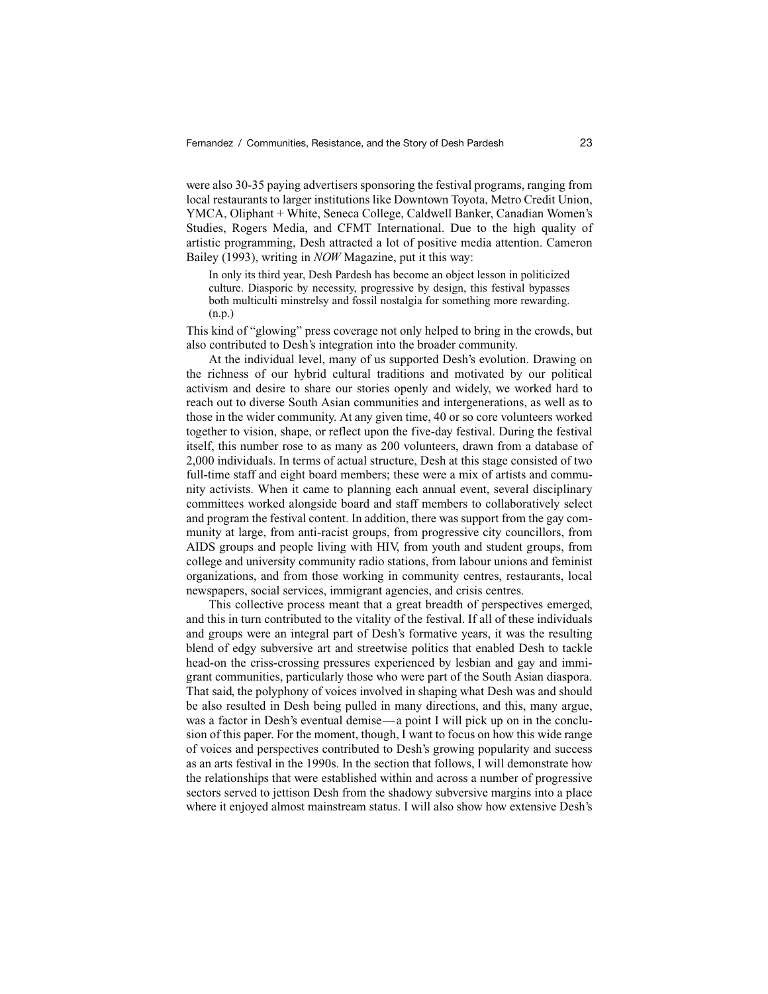were also 30-35 paying advertisers sponsoring the festival programs, ranging from local restaurants to larger institutions like Downtown Toyota, Metro Credit Union, YMCA, Oliphant + White, Seneca College, Caldwell Banker, Canadian Women's Studies, Rogers Media, and CFMT International. Due to the high quality of artistic programming, Desh attracted a lot of positive media attention. Cameron Bailey (1993), writing in *NOW* Magazine, put it this way:

In only its third year, Desh Pardesh has become an object lesson in politicized culture. Diasporic by necessity, progressive by design, this festival bypasses both multiculti minstrelsy and fossil nostalgia for something more rewarding. (n.p.)

This kind of "glowing" press coverage not only helped to bring in the crowds, but also contributed to Desh's integration into the broader community.

At the individual level, many of us supported Desh's evolution. Drawing on the richness of our hybrid cultural traditions and motivated by our political activism and desire to share our stories openly and widely, we worked hard to reach out to diverse South Asian communities and intergenerations, as well as to those in the wider community. At any given time, 40 or so core volunteers worked together to vision, shape, or reflect upon the five-day festival. During the festival itself, this number rose to as many as 200 volunteers, drawn from a database of 2,000 individuals. In terms of actual structure, Desh at this stage consisted of two full-time staff and eight board members; these were a mix of artists and community activists. When it came to planning each annual event, several disciplinary committees worked alongside board and staff members to collaboratively select and program the festival content. In addition, there was support from the gay community at large, from anti-racist groups, from progressive city councillors, from AIDS groups and people living with HIV, from youth and student groups, from college and university community radio stations, from labour unions and feminist organizations, and from those working in community centres, restaurants, local newspapers, social services, immigrant agencies, and crisis centres.

This collective process meant that a great breadth of perspectives emerged, and this in turn contributed to the vitality of the festival. If all of these individuals and groups were an integral part of Desh's formative years, it was the resulting blend of edgy subversive art and streetwise politics that enabled Desh to tackle head-on the criss-crossing pressures experienced by lesbian and gay and immigrant communities, particularly those who were part of the South Asian diaspora. That said, the polyphony of voices involved in shaping what Desh was and should be also resulted in Desh being pulled in many directions, and this, many argue, was a factor in Desh's eventual demise—a point I will pick up on in the conclusion of this paper. For the moment, though, I want to focus on how this wide range of voices and perspectives contributed to Desh's growing popularity and success as an arts festival in the 1990s. In the section that follows, I will demonstrate how the relationships that were established within and across a number of progressive sectors served to jettison Desh from the shadowy subversive margins into a place where it enjoyed almost mainstream status. I will also show how extensive Desh's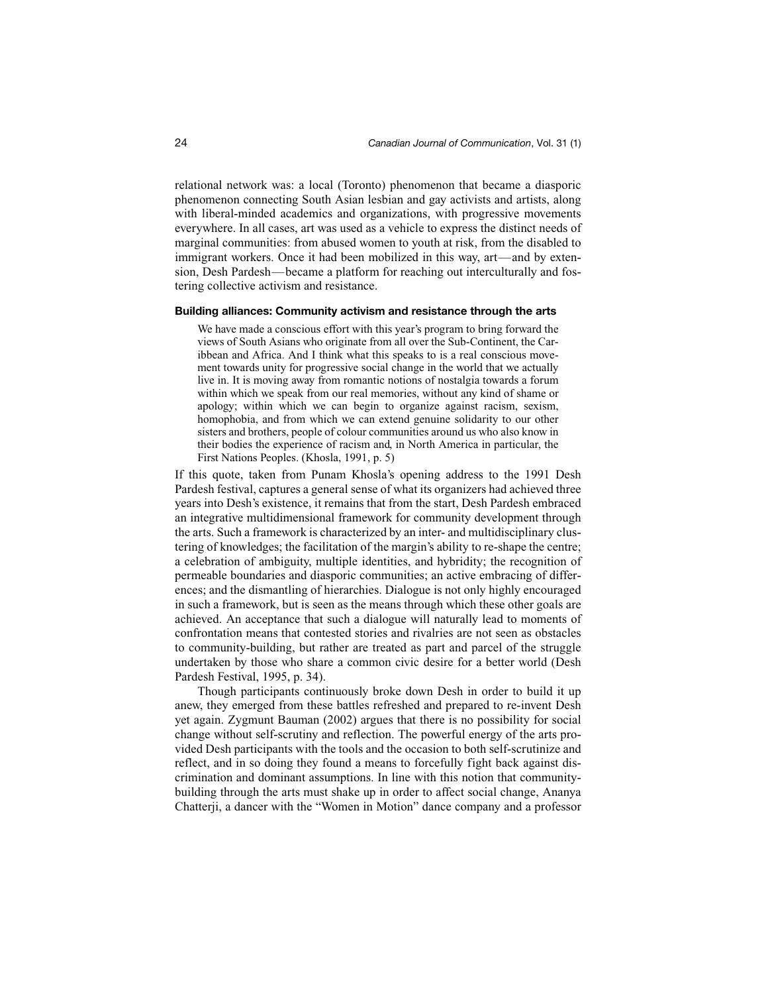relational network was: a local (Toronto) phenomenon that became a diasporic phenomenon connecting South Asian lesbian and gay activists and artists, along with liberal-minded academics and organizations, with progressive movements everywhere. In all cases, art was used as a vehicle to express the distinct needs of marginal communities: from abused women to youth at risk, from the disabled to immigrant workers. Once it had been mobilized in this way, art—and by extension, Desh Pardesh—became a platform for reaching out interculturally and fostering collective activism and resistance.

### **Building alliances: Community activism and resistance through the arts**

We have made a conscious effort with this year's program to bring forward the views of South Asians who originate from all over the Sub-Continent, the Caribbean and Africa. And I think what this speaks to is a real conscious movement towards unity for progressive social change in the world that we actually live in. It is moving away from romantic notions of nostalgia towards a forum within which we speak from our real memories, without any kind of shame or apology; within which we can begin to organize against racism, sexism, homophobia, and from which we can extend genuine solidarity to our other sisters and brothers, people of colour communities around us who also know in their bodies the experience of racism and, in North America in particular, the First Nations Peoples. (Khosla, 1991, p. 5)

If this quote, taken from Punam Khosla's opening address to the 1991 Desh Pardesh festival, captures a general sense of what its organizers had achieved three years into Desh's existence, it remains that from the start, Desh Pardesh embraced an integrative multidimensional framework for community development through the arts. Such a framework is characterized by an inter- and multidisciplinary clustering of knowledges; the facilitation of the margin's ability to re-shape the centre; a celebration of ambiguity, multiple identities, and hybridity; the recognition of permeable boundaries and diasporic communities; an active embracing of differences; and the dismantling of hierarchies. Dialogue is not only highly encouraged in such a framework, but is seen as the means through which these other goals are achieved. An acceptance that such a dialogue will naturally lead to moments of confrontation means that contested stories and rivalries are not seen as obstacles to community-building, but rather are treated as part and parcel of the struggle undertaken by those who share a common civic desire for a better world (Desh Pardesh Festival, 1995, p. 34).

Though participants continuously broke down Desh in order to build it up anew, they emerged from these battles refreshed and prepared to re-invent Desh yet again. Zygmunt Bauman (2002) argues that there is no possibility for social change without self-scrutiny and reflection. The powerful energy of the arts provided Desh participants with the tools and the occasion to both self-scrutinize and reflect, and in so doing they found a means to forcefully fight back against discrimination and dominant assumptions. In line with this notion that communitybuilding through the arts must shake up in order to affect social change, Ananya Chatterji, a dancer with the "Women in Motion" dance company and a professor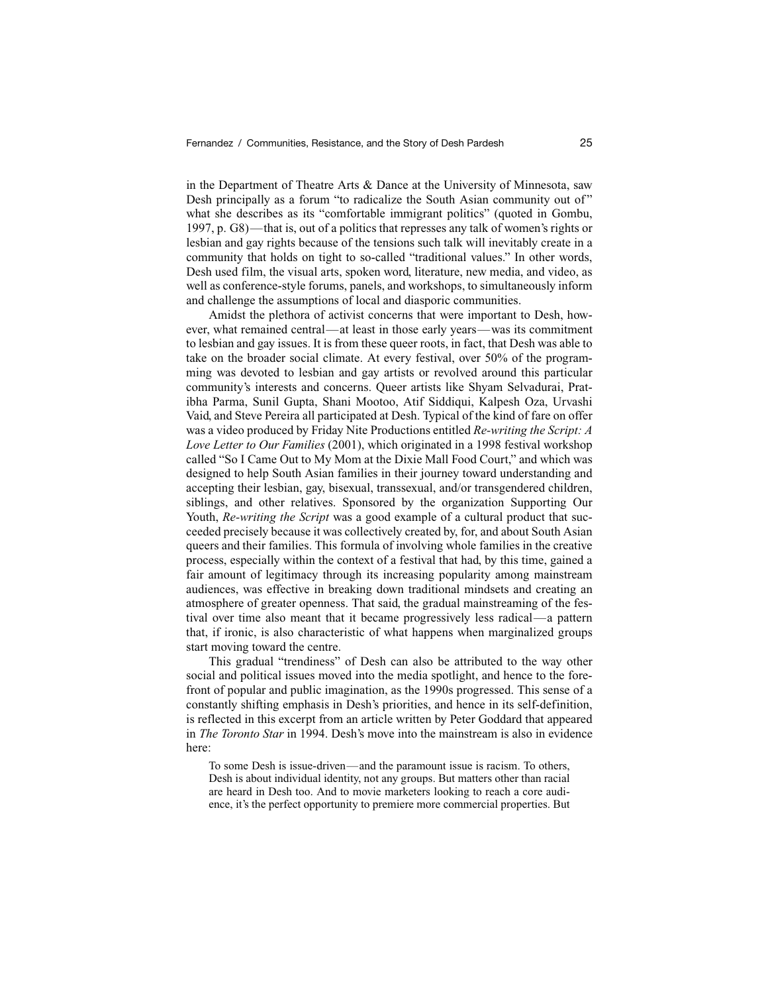in the Department of Theatre Arts & Dance at the University of Minnesota, saw Desh principally as a forum "to radicalize the South Asian community out of " what she describes as its "comfortable immigrant politics" (quoted in Gombu, 1997, p. G8)—that is, out of a politics that represses any talk of women's rights or lesbian and gay rights because of the tensions such talk will inevitably create in a community that holds on tight to so-called "traditional values." In other words, Desh used film, the visual arts, spoken word, literature, new media, and video, as well as conference-style forums, panels, and workshops, to simultaneously inform and challenge the assumptions of local and diasporic communities.

Amidst the plethora of activist concerns that were important to Desh, however, what remained central—at least in those early years—was its commitment to lesbian and gay issues. It is from these queer roots, in fact, that Desh was able to take on the broader social climate. At every festival, over 50% of the programming was devoted to lesbian and gay artists or revolved around this particular community's interests and concerns. Queer artists like Shyam Selvadurai, Pratibha Parma, Sunil Gupta, Shani Mootoo, Atif Siddiqui, Kalpesh Oza, Urvashi Vaid, and Steve Pereira all participated at Desh. Typical of the kind of fare on offer was a video produced by Friday Nite Productions entitled *Re-writing the Script: A Love Letter to Our Families* (2001), which originated in a 1998 festival workshop called "So I Came Out to My Mom at the Dixie Mall Food Court," and which was designed to help South Asian families in their journey toward understanding and accepting their lesbian, gay, bisexual, transsexual, and/or transgendered children, siblings, and other relatives. Sponsored by the organization Supporting Our Youth, *Re-writing the Script* was a good example of a cultural product that succeeded precisely because it was collectively created by, for, and about South Asian queers and their families. This formula of involving whole families in the creative process, especially within the context of a festival that had, by this time, gained a fair amount of legitimacy through its increasing popularity among mainstream audiences, was effective in breaking down traditional mindsets and creating an atmosphere of greater openness. That said, the gradual mainstreaming of the festival over time also meant that it became progressively less radical—a pattern that, if ironic, is also characteristic of what happens when marginalized groups start moving toward the centre.

This gradual "trendiness" of Desh can also be attributed to the way other social and political issues moved into the media spotlight, and hence to the forefront of popular and public imagination, as the 1990s progressed. This sense of a constantly shifting emphasis in Desh's priorities, and hence in its self-definition, is reflected in this excerpt from an article written by Peter Goddard that appeared in *The Toronto Star* in 1994. Desh's move into the mainstream is also in evidence here:

To some Desh is issue-driven—and the paramount issue is racism. To others, Desh is about individual identity, not any groups. But matters other than racial are heard in Desh too. And to movie marketers looking to reach a core audience, it's the perfect opportunity to premiere more commercial properties. But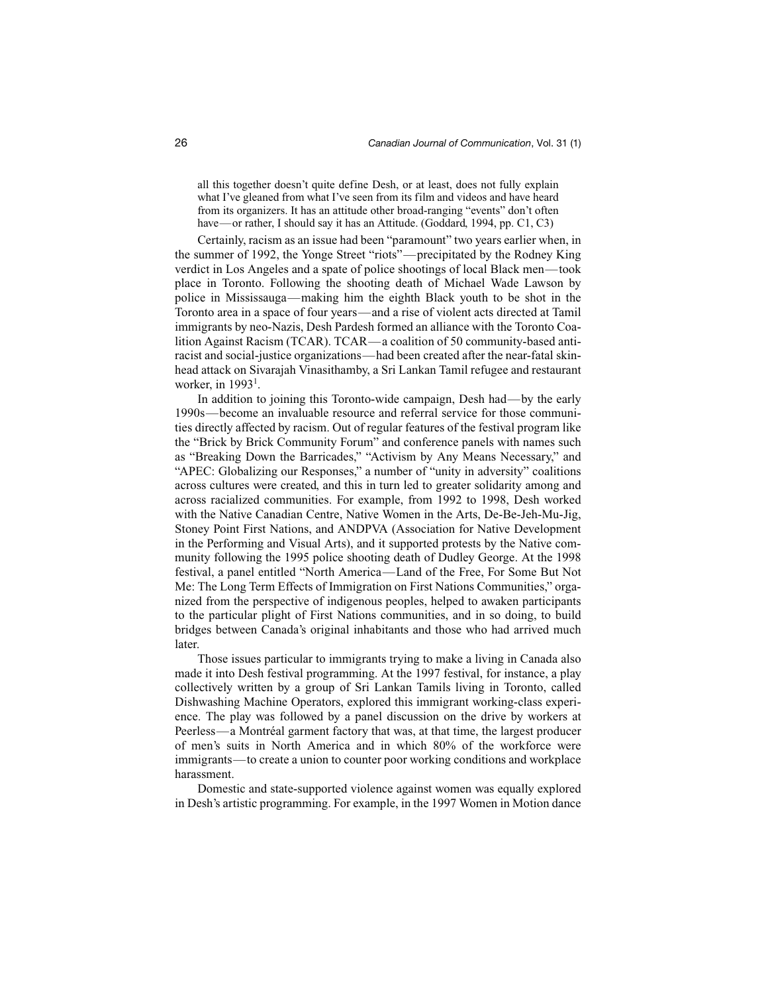all this together doesn't quite define Desh, or at least, does not fully explain what I've gleaned from what I've seen from its film and videos and have heard from its organizers. It has an attitude other broad-ranging "events" don't often have—or rather, I should say it has an Attitude. (Goddard, 1994, pp. C1, C3)

Certainly, racism as an issue had been "paramount" two years earlier when, in the summer of 1992, the Yonge Street "riots"—precipitated by the Rodney King verdict in Los Angeles and a spate of police shootings of local Black men—took place in Toronto. Following the shooting death of Michael Wade Lawson by police in Mississauga—making him the eighth Black youth to be shot in the Toronto area in a space of four years—and a rise of violent acts directed at Tamil immigrants by neo-Nazis, Desh Pardesh formed an alliance with the Toronto Coalition Against Racism (TCAR). TCAR—a coalition of 50 community-based antiracist and social-justice organizations—had been created after the near-fatal skinhead attack on Sivarajah Vinasithamby, a Sri Lankan Tamil refugee and restaurant worker, in  $1993<sup>1</sup>$ .

In addition to joining this Toronto-wide campaign, Desh had—by the early 1990s—become an invaluable resource and referral service for those communities directly affected by racism. Out of regular features of the festival program like the "Brick by Brick Community Forum" and conference panels with names such as "Breaking Down the Barricades," "Activism by Any Means Necessary," and "APEC: Globalizing our Responses," a number of "unity in adversity" coalitions across cultures were created, and this in turn led to greater solidarity among and across racialized communities. For example, from 1992 to 1998, Desh worked with the Native Canadian Centre, Native Women in the Arts, De-Be-Jeh-Mu-Jig, Stoney Point First Nations, and ANDPVA (Association for Native Development in the Performing and Visual Arts), and it supported protests by the Native community following the 1995 police shooting death of Dudley George. At the 1998 festival, a panel entitled "North America—Land of the Free, For Some But Not Me: The Long Term Effects of Immigration on First Nations Communities," organized from the perspective of indigenous peoples, helped to awaken participants to the particular plight of First Nations communities, and in so doing, to build bridges between Canada's original inhabitants and those who had arrived much later.

Those issues particular to immigrants trying to make a living in Canada also made it into Desh festival programming. At the 1997 festival, for instance, a play collectively written by a group of Sri Lankan Tamils living in Toronto, called Dishwashing Machine Operators, explored this immigrant working-class experience. The play was followed by a panel discussion on the drive by workers at Peerless—a Montréal garment factory that was, at that time, the largest producer of men's suits in North America and in which 80% of the workforce were immigrants—to create a union to counter poor working conditions and workplace harassment.

Domestic and state-supported violence against women was equally explored in Desh's artistic programming. For example, in the 1997 Women in Motion dance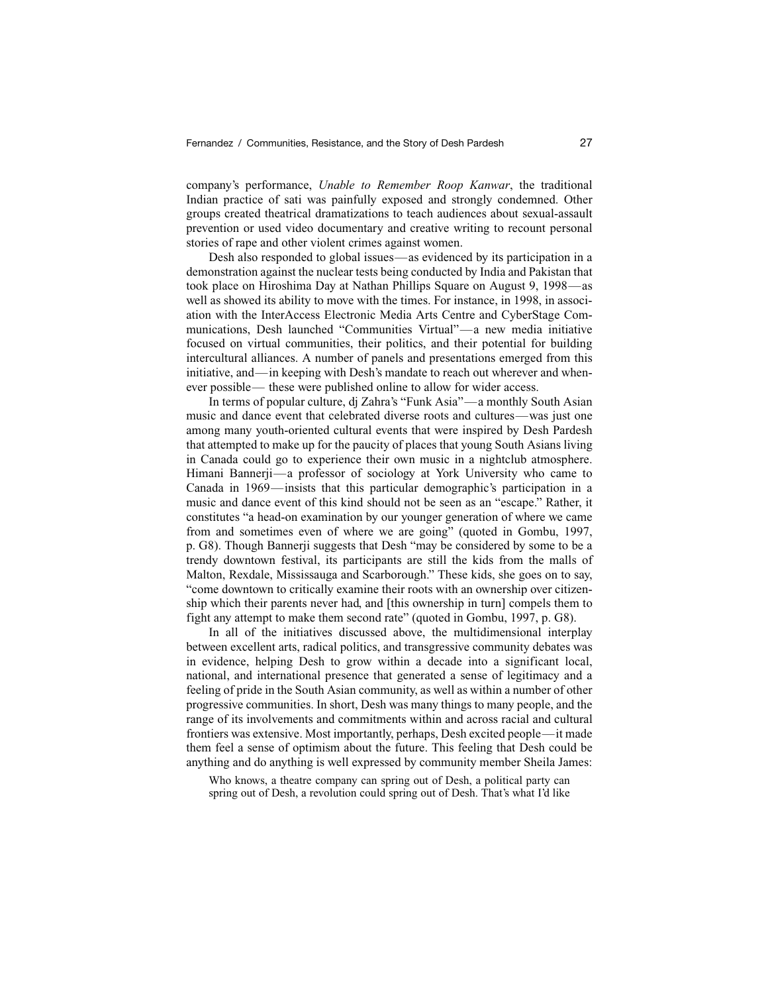company's performance, *Unable to Remember Roop Kanwar*, the traditional Indian practice of sati was painfully exposed and strongly condemned. Other groups created theatrical dramatizations to teach audiences about sexual-assault prevention or used video documentary and creative writing to recount personal stories of rape and other violent crimes against women.

Desh also responded to global issues—as evidenced by its participation in a demonstration against the nuclear tests being conducted by India and Pakistan that took place on Hiroshima Day at Nathan Phillips Square on August 9, 1998—as well as showed its ability to move with the times. For instance, in 1998, in association with the InterAccess Electronic Media Arts Centre and CyberStage Communications, Desh launched "Communities Virtual"—a new media initiative focused on virtual communities, their politics, and their potential for building intercultural alliances. A number of panels and presentations emerged from this initiative, and—in keeping with Desh's mandate to reach out wherever and whenever possible— these were published online to allow for wider access.

In terms of popular culture, dj Zahra's "Funk Asia"—a monthly South Asian music and dance event that celebrated diverse roots and cultures—was just one among many youth-oriented cultural events that were inspired by Desh Pardesh that attempted to make up for the paucity of places that young South Asians living in Canada could go to experience their own music in a nightclub atmosphere. Himani Bannerji—a professor of sociology at York University who came to Canada in 1969—insists that this particular demographic's participation in a music and dance event of this kind should not be seen as an "escape." Rather, it constitutes "a head-on examination by our younger generation of where we came from and sometimes even of where we are going" (quoted in Gombu, 1997, p. G8). Though Bannerji suggests that Desh "may be considered by some to be a trendy downtown festival, its participants are still the kids from the malls of Malton, Rexdale, Mississauga and Scarborough." These kids, she goes on to say, "come downtown to critically examine their roots with an ownership over citizenship which their parents never had, and [this ownership in turn] compels them to fight any attempt to make them second rate" (quoted in Gombu, 1997, p. G8).

In all of the initiatives discussed above, the multidimensional interplay between excellent arts, radical politics, and transgressive community debates was in evidence, helping Desh to grow within a decade into a significant local, national, and international presence that generated a sense of legitimacy and a feeling of pride in the South Asian community, as well as within a number of other progressive communities. In short, Desh was many things to many people, and the range of its involvements and commitments within and across racial and cultural frontiers was extensive. Most importantly, perhaps, Desh excited people—it made them feel a sense of optimism about the future. This feeling that Desh could be anything and do anything is well expressed by community member Sheila James:

Who knows, a theatre company can spring out of Desh, a political party can spring out of Desh, a revolution could spring out of Desh. That's what I'd like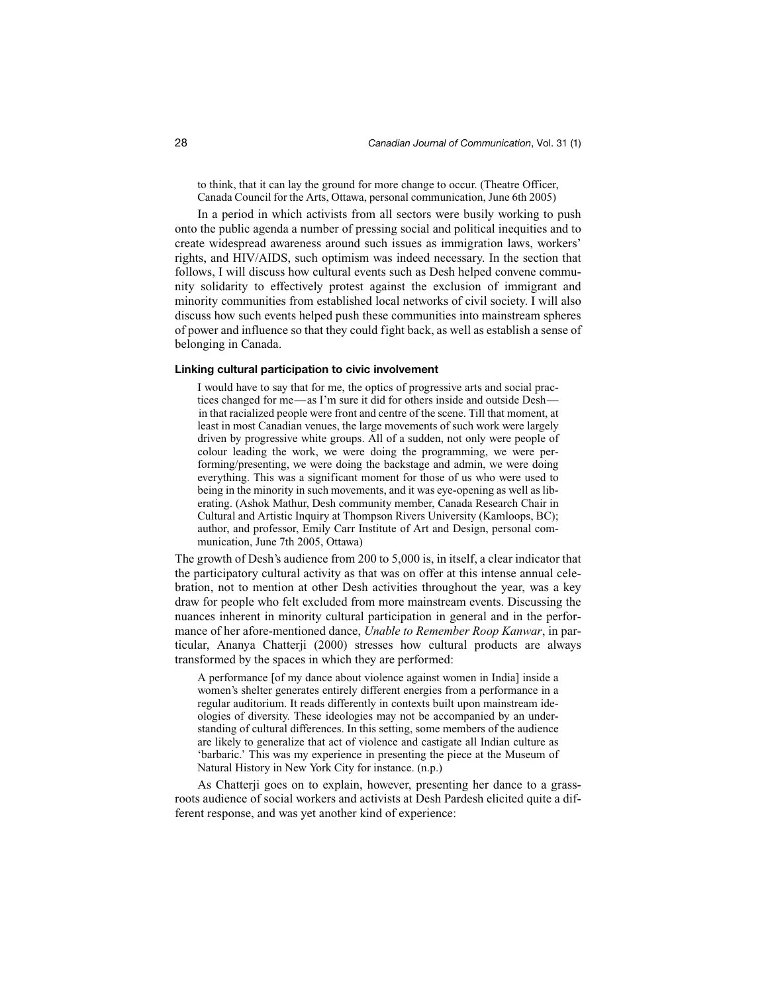to think, that it can lay the ground for more change to occur. (Theatre Officer, Canada Council for the Arts, Ottawa, personal communication, June 6th 2005)

In a period in which activists from all sectors were busily working to push onto the public agenda a number of pressing social and political inequities and to create widespread awareness around such issues as immigration laws, workers' rights, and HIV/AIDS, such optimism was indeed necessary. In the section that follows, I will discuss how cultural events such as Desh helped convene community solidarity to effectively protest against the exclusion of immigrant and minority communities from established local networks of civil society. I will also discuss how such events helped push these communities into mainstream spheres of power and influence so that they could fight back, as well as establish a sense of belonging in Canada.

#### **Linking cultural participation to civic involvement**

I would have to say that for me, the optics of progressive arts and social practices changed for me—as I'm sure it did for others inside and outside Desh in that racialized people were front and centre of the scene. Till that moment, at least in most Canadian venues, the large movements of such work were largely driven by progressive white groups. All of a sudden, not only were people of colour leading the work, we were doing the programming, we were performing/presenting, we were doing the backstage and admin, we were doing everything. This was a significant moment for those of us who were used to being in the minority in such movements, and it was eye-opening as well as liberating. (Ashok Mathur, Desh community member, Canada Research Chair in Cultural and Artistic Inquiry at Thompson Rivers University (Kamloops, BC); author, and professor, Emily Carr Institute of Art and Design, personal communication, June 7th 2005, Ottawa)

The growth of Desh's audience from 200 to 5,000 is, in itself, a clear indicator that the participatory cultural activity as that was on offer at this intense annual celebration, not to mention at other Desh activities throughout the year, was a key draw for people who felt excluded from more mainstream events. Discussing the nuances inherent in minority cultural participation in general and in the performance of her afore-mentioned dance, *Unable to Remember Roop Kanwar*, in particular, Ananya Chatterji (2000) stresses how cultural products are always transformed by the spaces in which they are performed:

A performance [of my dance about violence against women in India] inside a women's shelter generates entirely different energies from a performance in a regular auditorium. It reads differently in contexts built upon mainstream ideologies of diversity. These ideologies may not be accompanied by an understanding of cultural differences. In this setting, some members of the audience are likely to generalize that act of violence and castigate all Indian culture as 'barbaric.' This was my experience in presenting the piece at the Museum of Natural History in New York City for instance. (n.p.)

As Chatterji goes on to explain, however, presenting her dance to a grassroots audience of social workers and activists at Desh Pardesh elicited quite a different response, and was yet another kind of experience: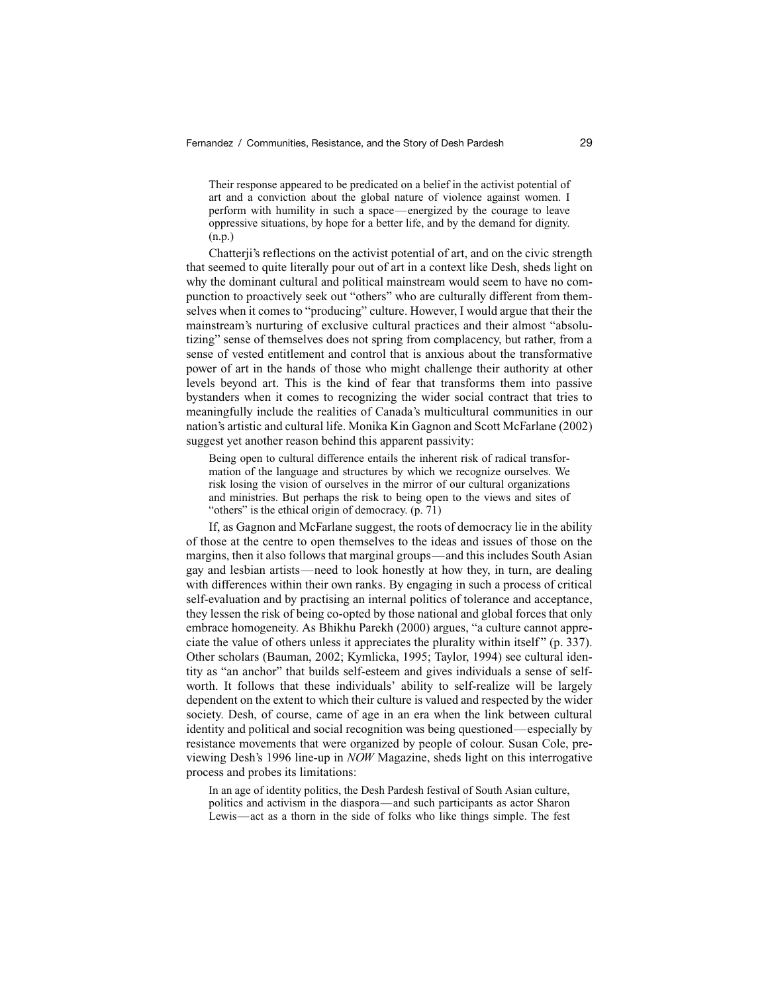Their response appeared to be predicated on a belief in the activist potential of art and a conviction about the global nature of violence against women. I perform with humility in such a space—energized by the courage to leave oppressive situations, by hope for a better life, and by the demand for dignity. (n.p.)

Chatterji's reflections on the activist potential of art, and on the civic strength that seemed to quite literally pour out of art in a context like Desh, sheds light on why the dominant cultural and political mainstream would seem to have no compunction to proactively seek out "others" who are culturally different from themselves when it comes to "producing" culture. However, I would argue that their the mainstream's nurturing of exclusive cultural practices and their almost "absolutizing" sense of themselves does not spring from complacency, but rather, from a sense of vested entitlement and control that is anxious about the transformative power of art in the hands of those who might challenge their authority at other levels beyond art. This is the kind of fear that transforms them into passive bystanders when it comes to recognizing the wider social contract that tries to meaningfully include the realities of Canada's multicultural communities in our nation's artistic and cultural life. Monika Kin Gagnon and Scott McFarlane (2002) suggest yet another reason behind this apparent passivity:

Being open to cultural difference entails the inherent risk of radical transformation of the language and structures by which we recognize ourselves. We risk losing the vision of ourselves in the mirror of our cultural organizations and ministries. But perhaps the risk to being open to the views and sites of "others" is the ethical origin of democracy. (p. 71)

If, as Gagnon and McFarlane suggest, the roots of democracy lie in the ability of those at the centre to open themselves to the ideas and issues of those on the margins, then it also follows that marginal groups—and this includes South Asian gay and lesbian artists—need to look honestly at how they, in turn, are dealing with differences within their own ranks. By engaging in such a process of critical self-evaluation and by practising an internal politics of tolerance and acceptance, they lessen the risk of being co-opted by those national and global forces that only embrace homogeneity. As Bhikhu Parekh (2000) argues, "a culture cannot appreciate the value of others unless it appreciates the plurality within itself" (p. 337). Other scholars (Bauman, 2002; Kymlicka, 1995; Taylor, 1994) see cultural identity as "an anchor" that builds self-esteem and gives individuals a sense of selfworth. It follows that these individuals' ability to self-realize will be largely dependent on the extent to which their culture is valued and respected by the wider society. Desh, of course, came of age in an era when the link between cultural identity and political and social recognition was being questioned—especially by resistance movements that were organized by people of colour. Susan Cole, previewing Desh's 1996 line-up in *NOW* Magazine, sheds light on this interrogative process and probes its limitations:

In an age of identity politics, the Desh Pardesh festival of South Asian culture, politics and activism in the diaspora—and such participants as actor Sharon Lewis—act as a thorn in the side of folks who like things simple. The fest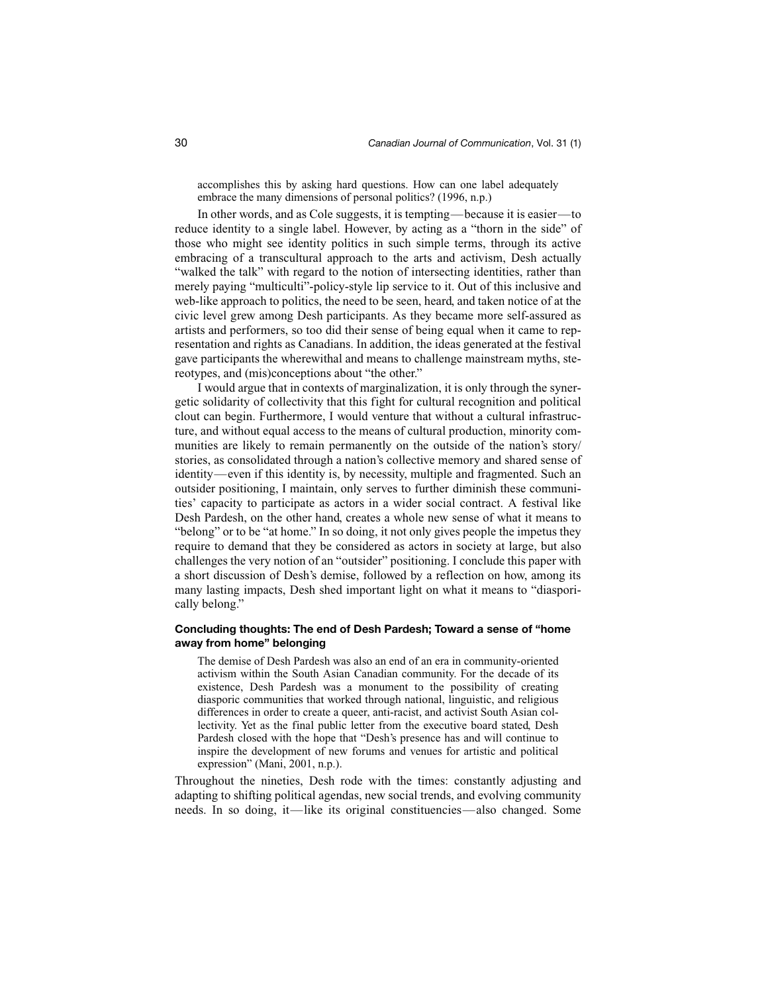accomplishes this by asking hard questions. How can one label adequately embrace the many dimensions of personal politics? (1996, n.p.)

In other words, and as Cole suggests, it is tempting—because it is easier—to reduce identity to a single label. However, by acting as a "thorn in the side" of those who might see identity politics in such simple terms, through its active embracing of a transcultural approach to the arts and activism, Desh actually "walked the talk" with regard to the notion of intersecting identities, rather than merely paying "multiculti"-policy-style lip service to it. Out of this inclusive and web-like approach to politics, the need to be seen, heard, and taken notice of at the civic level grew among Desh participants. As they became more self-assured as artists and performers, so too did their sense of being equal when it came to representation and rights as Canadians. In addition, the ideas generated at the festival gave participants the wherewithal and means to challenge mainstream myths, stereotypes, and (mis)conceptions about "the other."

I would argue that in contexts of marginalization, it is only through the synergetic solidarity of collectivity that this fight for cultural recognition and political clout can begin. Furthermore, I would venture that without a cultural infrastructure, and without equal access to the means of cultural production, minority communities are likely to remain permanently on the outside of the nation's story/ stories, as consolidated through a nation's collective memory and shared sense of identity—even if this identity is, by necessity, multiple and fragmented. Such an outsider positioning, I maintain, only serves to further diminish these communities' capacity to participate as actors in a wider social contract. A festival like Desh Pardesh, on the other hand, creates a whole new sense of what it means to "belong" or to be "at home." In so doing, it not only gives people the impetus they require to demand that they be considered as actors in society at large, but also challenges the very notion of an "outsider" positioning. I conclude this paper with a short discussion of Desh's demise, followed by a reflection on how, among its many lasting impacts, Desh shed important light on what it means to "diasporically belong."

# **Concluding thoughts: The end of Desh Pardesh; Toward a sense of "home away from home" belonging**

The demise of Desh Pardesh was also an end of an era in community-oriented activism within the South Asian Canadian community. For the decade of its existence, Desh Pardesh was a monument to the possibility of creating diasporic communities that worked through national, linguistic, and religious differences in order to create a queer, anti-racist, and activist South Asian collectivity. Yet as the final public letter from the executive board stated, Desh Pardesh closed with the hope that "Desh's presence has and will continue to inspire the development of new forums and venues for artistic and political expression" (Mani, 2001, n.p.).

Throughout the nineties, Desh rode with the times: constantly adjusting and adapting to shifting political agendas, new social trends, and evolving community needs. In so doing, it—like its original constituencies—also changed. Some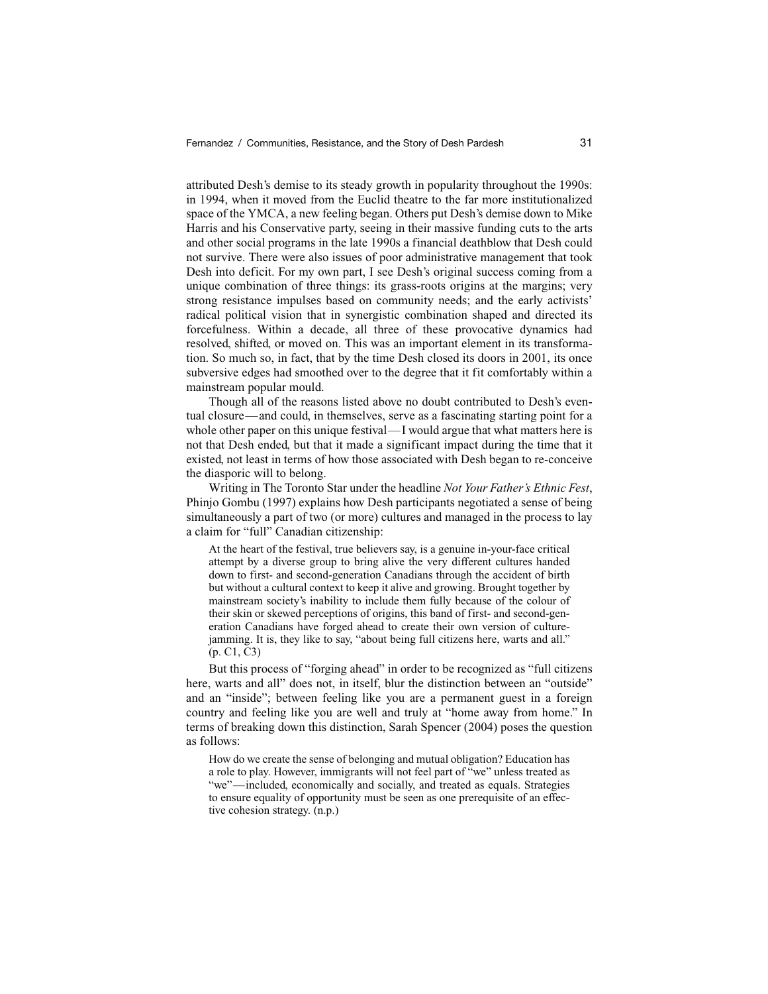attributed Desh's demise to its steady growth in popularity throughout the 1990s: in 1994, when it moved from the Euclid theatre to the far more institutionalized space of the YMCA, a new feeling began. Others put Desh's demise down to Mike Harris and his Conservative party, seeing in their massive funding cuts to the arts and other social programs in the late 1990s a financial deathblow that Desh could not survive. There were also issues of poor administrative management that took Desh into deficit. For my own part, I see Desh's original success coming from a unique combination of three things: its grass-roots origins at the margins; very strong resistance impulses based on community needs; and the early activists' radical political vision that in synergistic combination shaped and directed its forcefulness. Within a decade, all three of these provocative dynamics had resolved, shifted, or moved on. This was an important element in its transformation. So much so, in fact, that by the time Desh closed its doors in 2001, its once subversive edges had smoothed over to the degree that it fit comfortably within a mainstream popular mould.

Though all of the reasons listed above no doubt contributed to Desh's eventual closure—and could, in themselves, serve as a fascinating starting point for a whole other paper on this unique festival—I would argue that what matters here is not that Desh ended, but that it made a significant impact during the time that it existed, not least in terms of how those associated with Desh began to re-conceive the diasporic will to belong.

Writing in The Toronto Star under the headline *Not Your Father's Ethnic Fest*, Phinjo Gombu (1997) explains how Desh participants negotiated a sense of being simultaneously a part of two (or more) cultures and managed in the process to lay a claim for "full" Canadian citizenship:

At the heart of the festival, true believers say, is a genuine in-your-face critical attempt by a diverse group to bring alive the very different cultures handed down to first- and second-generation Canadians through the accident of birth but without a cultural context to keep it alive and growing. Brought together by mainstream society's inability to include them fully because of the colour of their skin or skewed perceptions of origins, this band of first- and second-generation Canadians have forged ahead to create their own version of culturejamming. It is, they like to say, "about being full citizens here, warts and all." (p. C1, C3)

But this process of "forging ahead" in order to be recognized as "full citizens here, warts and all" does not, in itself, blur the distinction between an "outside" and an "inside"; between feeling like you are a permanent guest in a foreign country and feeling like you are well and truly at "home away from home." In terms of breaking down this distinction, Sarah Spencer (2004) poses the question as follows:

How do we create the sense of belonging and mutual obligation? Education has a role to play. However, immigrants will not feel part of "we" unless treated as "we"—included, economically and socially, and treated as equals. Strategies to ensure equality of opportunity must be seen as one prerequisite of an effective cohesion strategy. (n.p.)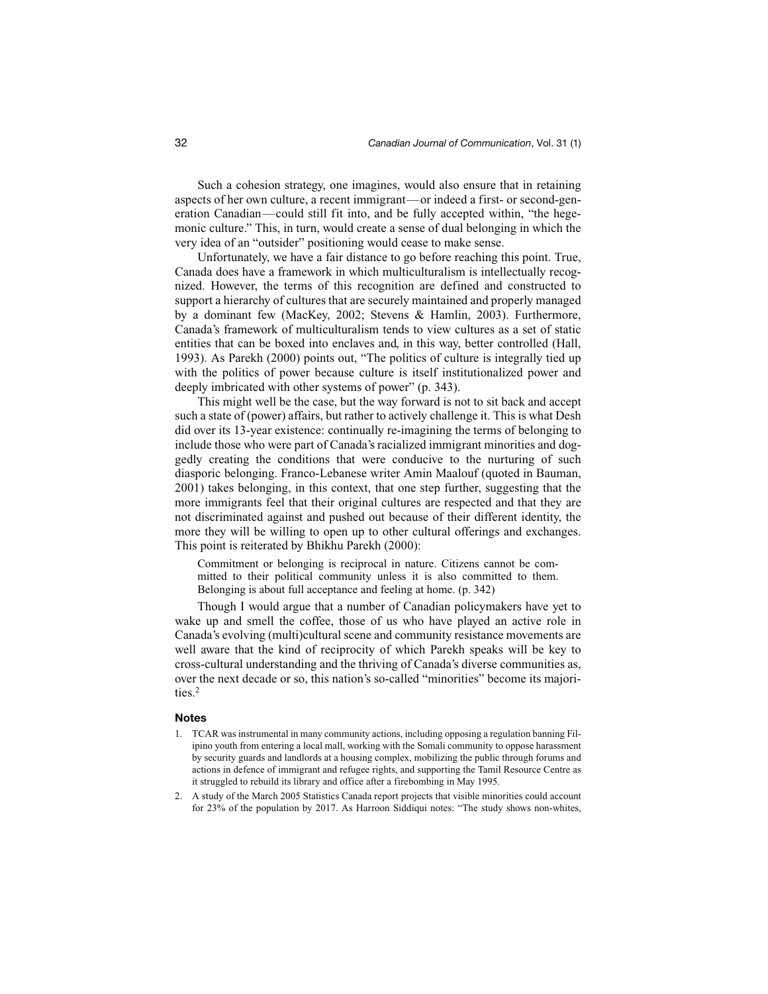Such a cohesion strategy, one imagines, would also ensure that in retaining aspects of her own culture, a recent immigrant—or indeed a first- or second-generation Canadian—could still fit into, and be fully accepted within, "the hegemonic culture." This, in turn, would create a sense of dual belonging in which the very idea of an "outsider" positioning would cease to make sense.

Unfortunately, we have a fair distance to go before reaching this point. True, Canada does have a framework in which multiculturalism is intellectually recognized. However, the terms of this recognition are defined and constructed to support a hierarchy of cultures that are securely maintained and properly managed by a dominant few (MacKey, 2002; Stevens & Hamlin, 2003). Furthermore, Canada's framework of multiculturalism tends to view cultures as a set of static entities that can be boxed into enclaves and, in this way, better controlled (Hall, 1993). As Parekh (2000) points out, "The politics of culture is integrally tied up with the politics of power because culture is itself institutionalized power and deeply imbricated with other systems of power" (p. 343).

This might well be the case, but the way forward is not to sit back and accept such a state of (power) affairs, but rather to actively challenge it. This is what Desh did over its 13-year existence: continually re-imagining the terms of belonging to include those who were part of Canada's racialized immigrant minorities and doggedly creating the conditions that were conducive to the nurturing of such diasporic belonging. Franco-Lebanese writer Amin Maalouf (quoted in Bauman, 2001) takes belonging, in this context, that one step further, suggesting that the more immigrants feel that their original cultures are respected and that they are not discriminated against and pushed out because of their different identity, the more they will be willing to open up to other cultural offerings and exchanges. This point is reiterated by Bhikhu Parekh (2000):

Commitment or belonging is reciprocal in nature. Citizens cannot be committed to their political community unless it is also committed to them. Belonging is about full acceptance and feeling at home. (p. 342)

Though I would argue that a number of Canadian policymakers have yet to wake up and smell the coffee, those of us who have played an active role in Canada's evolving (multi)cultural scene and community resistance movements are well aware that the kind of reciprocity of which Parekh speaks will be key to cross-cultural understanding and the thriving of Canada's diverse communities as, over the next decade or so, this nation's so-called "minorities" become its majorities.2

#### **Notes**

- 1. TCAR was instrumental in many community actions, including opposing a regulation banning Filipino youth from entering a local mall, working with the Somali community to oppose harassment by security guards and landlords at a housing complex, mobilizing the public through forums and actions in defence of immigrant and refugee rights, and supporting the Tamil Resource Centre as it struggled to rebuild its library and office after a firebombing in May 1995.
- 2. A study of the March 2005 Statistics Canada report projects that visible minorities could account for 23% of the population by 2017. As Harroon Siddiqui notes: "The study shows non-whites,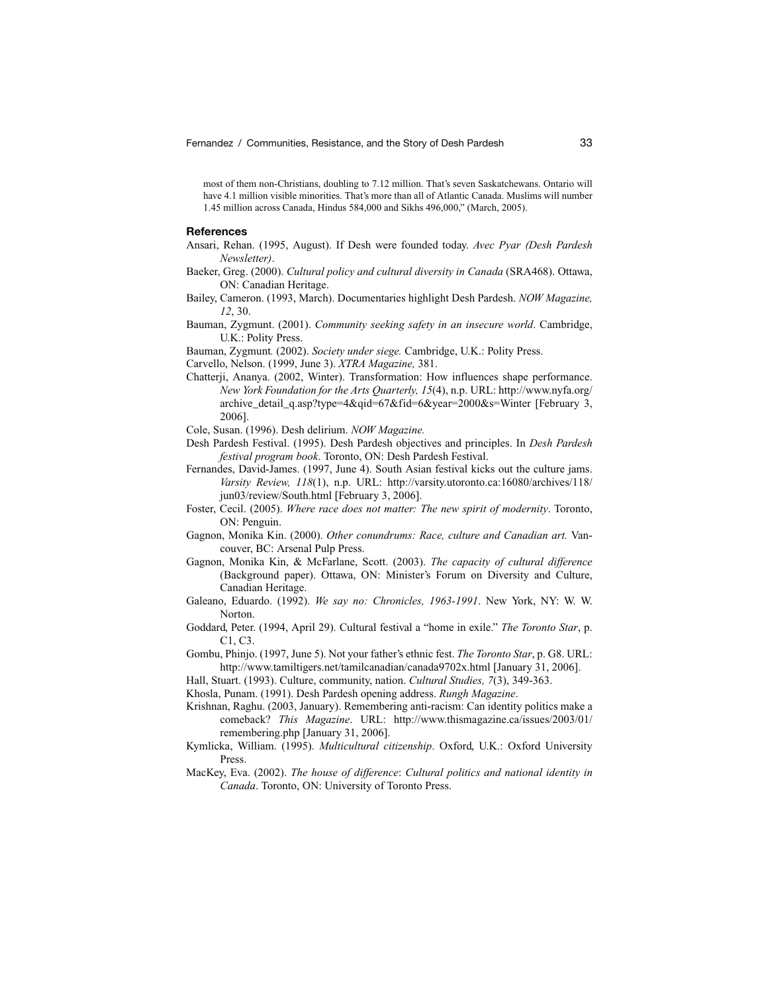most of them non-Christians, doubling to 7.12 million. That's seven Saskatchewans. Ontario will have 4.1 million visible minorities. That's more than all of Atlantic Canada. Muslims will number 1.45 million across Canada, Hindus 584,000 and Sikhs 496,000," (March, 2005).

#### **References**

- Ansari, Rehan. (1995, August). If Desh were founded today. *Avec Pyar (Desh Pardesh Newsletter)*.
- Baeker, Greg. (2000). *Cultural policy and cultural diversity in Canada* (SRA468). Ottawa, ON: Canadian Heritage.
- Bailey, Cameron. (1993, March). Documentaries highlight Desh Pardesh. *NOW Magazine, 12*, 30.
- Bauman, Zygmunt. (2001). *Community seeking safety in an insecure world*. Cambridge, U.K.: Polity Press.
- Bauman, Zygmunt*.* (2002). *Society under siege.* Cambridge, U.K.: Polity Press.
- Carvello, Nelson. (1999, June 3). *XTRA Magazine,* 381.
- Chatterji, Ananya. (2002, Winter). Transformation: How influences shape performance. *New York Foundation for the Arts Quarterly, 15*(4), n.p. URL: http://www.nyfa.org/ archive\_detail\_q.asp?type=4&qid=67&fid=6&year=2000&s=Winter [February 3, 2006].

Cole, Susan. (1996). Desh delirium. *NOW Magazine.*

- Desh Pardesh Festival. (1995). Desh Pardesh objectives and principles. In *Desh Pardesh festival program book*. Toronto, ON: Desh Pardesh Festival.
- Fernandes, David-James. (1997, June 4). South Asian festival kicks out the culture jams. *Varsity Review, 118*(1), n.p. URL: http://varsity.utoronto.ca:16080/archives/118/ jun03/review/South.html [February 3, 2006].
- Foster, Cecil. (2005). *Where race does not matter: The new spirit of modernity*. Toronto, ON: Penguin.
- Gagnon, Monika Kin. (2000). *Other conundrums: Race, culture and Canadian art.* Vancouver, BC: Arsenal Pulp Press.
- Gagnon, Monika Kin, & McFarlane, Scott. (2003). *The capacity of cultural difference* (Background paper). Ottawa, ON: Minister's Forum on Diversity and Culture, Canadian Heritage.
- Galeano, Eduardo. (1992). *We say no: Chronicles, 1963-1991*. New York, NY: W. W. Norton.
- Goddard, Peter. (1994, April 29). Cultural festival a "home in exile." *The Toronto Star*, p. C1, C3.
- Gombu, Phinjo. (1997, June 5). Not your father's ethnic fest. *The Toronto Star*, p. G8. URL: http://www.tamiltigers.net/tamilcanadian/canada9702x.html [January 31, 2006].
- Hall, Stuart. (1993). Culture, community, nation. *Cultural Studies, 7*(3), 349-363.
- Khosla, Punam. (1991). Desh Pardesh opening address. *Rungh Magazine*.
- Krishnan, Raghu. (2003, January). Remembering anti-racism: Can identity politics make a comeback? *This Magazine*. URL: http://www.thismagazine.ca/issues/2003/01/ remembering.php [January 31, 2006].
- Kymlicka, William. (1995). *Multicultural citizenship*. Oxford, U.K.: Oxford University Press.
- MacKey, Eva. (2002). *The house of difference*: *Cultural politics and national identity in Canada*. Toronto, ON: University of Toronto Press.